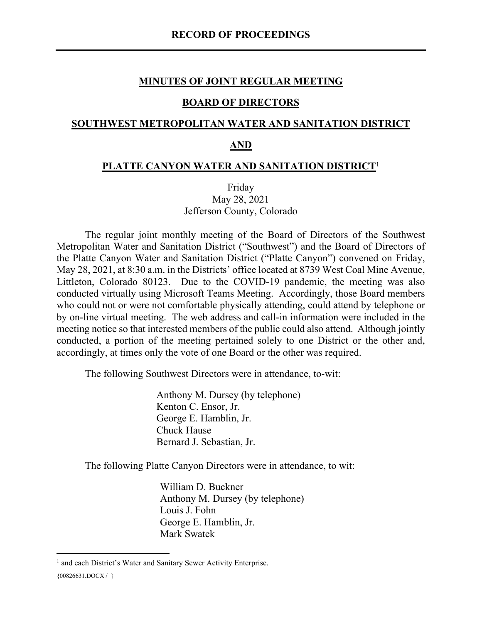#### **MINUTES OF JOINT REGULAR MEETING**

## **BOARD OF DIRECTORS**

#### **SOUTHWEST METROPOLITAN WATER AND SANITATION DISTRICT**

#### **AND**

#### **PLATTE CANYON WATER AND SANITATION DISTRICT**<sup>1</sup>

Friday May 28, 2021 Jefferson County, Colorado

The regular joint monthly meeting of the Board of Directors of the Southwest Metropolitan Water and Sanitation District ("Southwest") and the Board of Directors of the Platte Canyon Water and Sanitation District ("Platte Canyon") convened on Friday, May 28, 2021, at 8:30 a.m. in the Districts' office located at 8739 West Coal Mine Avenue, Littleton, Colorado 80123. Due to the COVID-19 pandemic, the meeting was also conducted virtually using Microsoft Teams Meeting. Accordingly, those Board members who could not or were not comfortable physically attending, could attend by telephone or by on-line virtual meeting. The web address and call-in information were included in the meeting notice so that interested members of the public could also attend. Although jointly conducted, a portion of the meeting pertained solely to one District or the other and, accordingly, at times only the vote of one Board or the other was required.

The following Southwest Directors were in attendance, to-wit:

Anthony M. Dursey (by telephone) Kenton C. Ensor, Jr. George E. Hamblin, Jr. Chuck Hause Bernard J. Sebastian, Jr.

The following Platte Canyon Directors were in attendance, to wit:

William D. Buckner Anthony M. Dursey (by telephone) Louis J. Fohn George E. Hamblin, Jr. Mark Swatek

<sup>&</sup>lt;sup>1</sup> and each District's Water and Sanitary Sewer Activity Enterprise.

<sup>{00826631.</sup>DOCX / }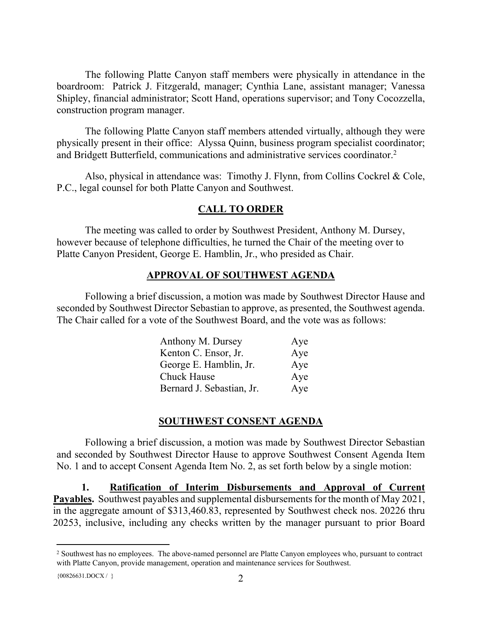The following Platte Canyon staff members were physically in attendance in the boardroom: Patrick J. Fitzgerald, manager; Cynthia Lane, assistant manager; Vanessa Shipley, financial administrator; Scott Hand, operations supervisor; and Tony Cocozzella, construction program manager.

The following Platte Canyon staff members attended virtually, although they were physically present in their office: Alyssa Quinn, business program specialist coordinator; and Bridgett Butterfield, communications and administrative services coordinator.<sup>2</sup>

Also, physical in attendance was: Timothy J. Flynn, from Collins Cockrel & Cole, P.C., legal counsel for both Platte Canyon and Southwest.

## **CALL TO ORDER**

The meeting was called to order by Southwest President, Anthony M. Dursey, however because of telephone difficulties, he turned the Chair of the meeting over to Platte Canyon President, George E. Hamblin, Jr., who presided as Chair.

## **APPROVAL OF SOUTHWEST AGENDA**

Following a brief discussion, a motion was made by Southwest Director Hause and seconded by Southwest Director Sebastian to approve, as presented, the Southwest agenda. The Chair called for a vote of the Southwest Board, and the vote was as follows:

| Anthony M. Dursey         | Aye |
|---------------------------|-----|
| Kenton C. Ensor, Jr.      | Aye |
| George E. Hamblin, Jr.    | Aye |
| <b>Chuck Hause</b>        | Aye |
| Bernard J. Sebastian, Jr. | Aye |

#### **SOUTHWEST CONSENT AGENDA**

Following a brief discussion, a motion was made by Southwest Director Sebastian and seconded by Southwest Director Hause to approve Southwest Consent Agenda Item No. 1 and to accept Consent Agenda Item No. 2, as set forth below by a single motion:

**1. Ratification of Interim Disbursements and Approval of Current Payables.** Southwest payables and supplemental disbursements for the month of May 2021, in the aggregate amount of \$313,460.83, represented by Southwest check nos. 20226 thru 20253, inclusive, including any checks written by the manager pursuant to prior Board

<sup>&</sup>lt;sup>2</sup> Southwest has no employees. The above-named personnel are Platte Canyon employees who, pursuant to contract with Platte Canyon, provide management, operation and maintenance services for Southwest.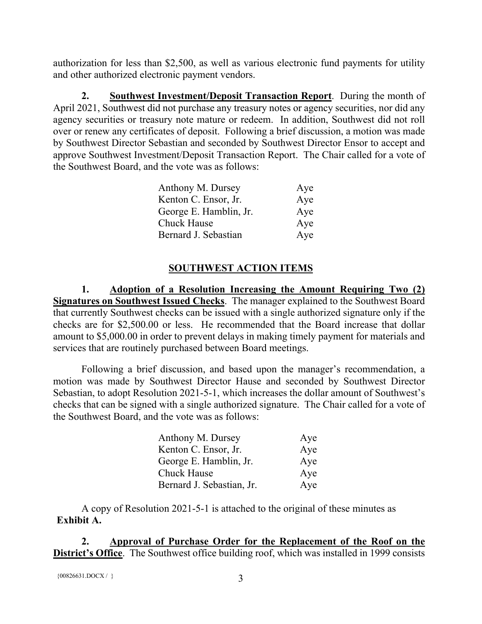authorization for less than \$2,500, as well as various electronic fund payments for utility and other authorized electronic payment vendors.

**2. Southwest Investment/Deposit Transaction Report**. During the month of April 2021, Southwest did not purchase any treasury notes or agency securities, nor did any agency securities or treasury note mature or redeem. In addition, Southwest did not roll over or renew any certificates of deposit. Following a brief discussion, a motion was made by Southwest Director Sebastian and seconded by Southwest Director Ensor to accept and approve Southwest Investment/Deposit Transaction Report. The Chair called for a vote of the Southwest Board, and the vote was as follows:

| Anthony M. Dursey      | Aye |
|------------------------|-----|
| Kenton C. Ensor, Jr.   | Aye |
| George E. Hamblin, Jr. | Aye |
| <b>Chuck Hause</b>     | Aye |
| Bernard J. Sebastian   | Aye |

# **SOUTHWEST ACTION ITEMS**

**1. Adoption of a Resolution Increasing the Amount Requiring Two (2) Signatures on Southwest Issued Checks**. The manager explained to the Southwest Board that currently Southwest checks can be issued with a single authorized signature only if the checks are for \$2,500.00 or less. He recommended that the Board increase that dollar amount to \$5,000.00 in order to prevent delays in making timely payment for materials and services that are routinely purchased between Board meetings.

Following a brief discussion, and based upon the manager's recommendation, a motion was made by Southwest Director Hause and seconded by Southwest Director Sebastian, to adopt Resolution 2021-5-1, which increases the dollar amount of Southwest's checks that can be signed with a single authorized signature. The Chair called for a vote of the Southwest Board, and the vote was as follows:

| Anthony M. Dursey         | Aye |
|---------------------------|-----|
| Kenton C. Ensor, Jr.      | Aye |
| George E. Hamblin, Jr.    | Aye |
| <b>Chuck Hause</b>        | Aye |
| Bernard J. Sebastian, Jr. | Aye |

A copy of Resolution 2021-5-1 is attached to the original of these minutes as **Exhibit A.**

**2. Approval of Purchase Order for the Replacement of the Roof on the District's Office**. The Southwest office building roof, which was installed in 1999 consists

```
{00826631.DOCX / }}
```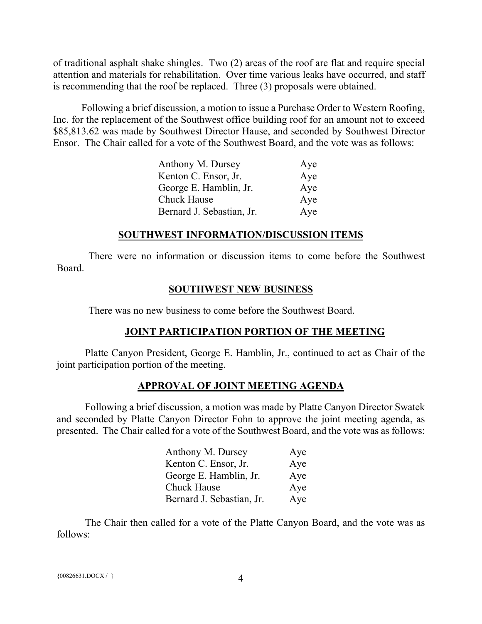of traditional asphalt shake shingles. Two (2) areas of the roof are flat and require special attention and materials for rehabilitation. Over time various leaks have occurred, and staff is recommending that the roof be replaced. Three (3) proposals were obtained.

Following a brief discussion, a motion to issue a Purchase Order to Western Roofing, Inc. for the replacement of the Southwest office building roof for an amount not to exceed \$85,813.62 was made by Southwest Director Hause, and seconded by Southwest Director Ensor. The Chair called for a vote of the Southwest Board, and the vote was as follows:

| Anthony M. Dursey         | Aye |
|---------------------------|-----|
| Kenton C. Ensor, Jr.      | Aye |
| George E. Hamblin, Jr.    | Aye |
| <b>Chuck Hause</b>        | Aye |
| Bernard J. Sebastian, Jr. | Aye |

#### **SOUTHWEST INFORMATION/DISCUSSION ITEMS**

There were no information or discussion items to come before the Southwest Board.

#### **SOUTHWEST NEW BUSINESS**

There was no new business to come before the Southwest Board.

# **JOINT PARTICIPATION PORTION OF THE MEETING**

Platte Canyon President, George E. Hamblin, Jr., continued to act as Chair of the joint participation portion of the meeting.

#### **APPROVAL OF JOINT MEETING AGENDA**

Following a brief discussion, a motion was made by Platte Canyon Director Swatek and seconded by Platte Canyon Director Fohn to approve the joint meeting agenda, as presented. The Chair called for a vote of the Southwest Board, and the vote was as follows:

| Anthony M. Dursey         | Aye |
|---------------------------|-----|
| Kenton C. Ensor, Jr.      | Aye |
| George E. Hamblin, Jr.    | Aye |
| <b>Chuck Hause</b>        | Aye |
| Bernard J. Sebastian, Jr. | Aye |

The Chair then called for a vote of the Platte Canyon Board, and the vote was as follows: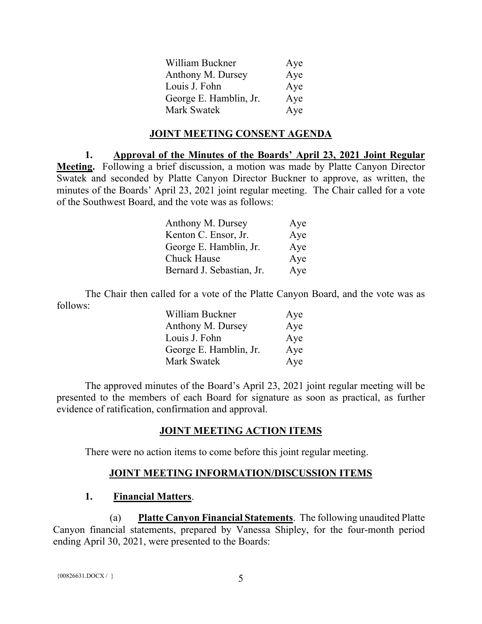| William Buckner        | Aye |
|------------------------|-----|
| Anthony M. Dursey      | Aye |
| Louis J. Fohn          | Aye |
| George E. Hamblin, Jr. | Aye |
| Mark Swatek            | Aye |

#### **JOINT MEETING CONSENT AGENDA**

**1. Approval of the Minutes of the Boards' April 23, 2021 Joint Regular Meeting.** Following a brief discussion, a motion was made by Platte Canyon Director Swatek and seconded by Platte Canyon Director Buckner to approve, as written, the minutes of the Boards' April 23, 2021 joint regular meeting. The Chair called for a vote of the Southwest Board, and the vote was as follows:

| Anthony M. Dursey         | Aye |
|---------------------------|-----|
| Kenton C. Ensor, Jr.      | Aye |
| George E. Hamblin, Jr.    | Aye |
| <b>Chuck Hause</b>        | Aye |
| Bernard J. Sebastian, Jr. | Aye |

The Chair then called for a vote of the Platte Canyon Board, and the vote was as follows:

| William Buckner        | Aye |
|------------------------|-----|
| Anthony M. Dursey      | Aye |
| Louis J. Fohn          | Aye |
| George E. Hamblin, Jr. | Aye |
| Mark Swatek            | Aye |

The approved minutes of the Board's April 23, 2021 joint regular meeting will be presented to the members of each Board for signature as soon as practical, as further evidence of ratification, confirmation and approval.

#### **JOINT MEETING ACTION ITEMS**

There were no action items to come before this joint regular meeting.

# **JOINT MEETING INFORMATION/DISCUSSION ITEMS**

#### **1. Financial Matters**.

(a) **Platte Canyon Financial Statements**. The following unaudited Platte Canyon financial statements, prepared by Vanessa Shipley, for the four-month period ending April 30, 2021, were presented to the Boards: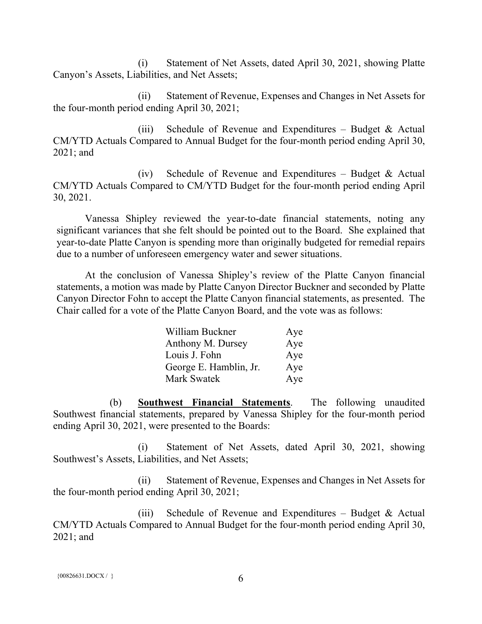(i) Statement of Net Assets, dated April 30, 2021, showing Platte Canyon's Assets, Liabilities, and Net Assets;

(ii) Statement of Revenue, Expenses and Changes in Net Assets for the four-month period ending April 30, 2021;

(iii) Schedule of Revenue and Expenditures – Budget  $\&$  Actual CM/YTD Actuals Compared to Annual Budget for the four-month period ending April 30, 2021; and

(iv) Schedule of Revenue and Expenditures – Budget  $\&$  Actual CM/YTD Actuals Compared to CM/YTD Budget for the four-month period ending April 30, 2021.

Vanessa Shipley reviewed the year-to-date financial statements, noting any significant variances that she felt should be pointed out to the Board. She explained that year-to-date Platte Canyon is spending more than originally budgeted for remedial repairs due to a number of unforeseen emergency water and sewer situations.

At the conclusion of Vanessa Shipley's review of the Platte Canyon financial statements, a motion was made by Platte Canyon Director Buckner and seconded by Platte Canyon Director Fohn to accept the Platte Canyon financial statements, as presented. The Chair called for a vote of the Platte Canyon Board, and the vote was as follows:

| William Buckner        | Aye |
|------------------------|-----|
| Anthony M. Dursey      | Aye |
| Louis J. Fohn          | Aye |
| George E. Hamblin, Jr. | Aye |
| <b>Mark Swatek</b>     | Aye |

(b) **Southwest Financial Statements**. The following unaudited Southwest financial statements, prepared by Vanessa Shipley for the four-month period ending April 30, 2021, were presented to the Boards:

(i) Statement of Net Assets, dated April 30, 2021, showing Southwest's Assets, Liabilities, and Net Assets;

(ii) Statement of Revenue, Expenses and Changes in Net Assets for the four-month period ending April 30, 2021;

(iii) Schedule of Revenue and Expenditures – Budget  $&$  Actual CM/YTD Actuals Compared to Annual Budget for the four-month period ending April 30, 2021; and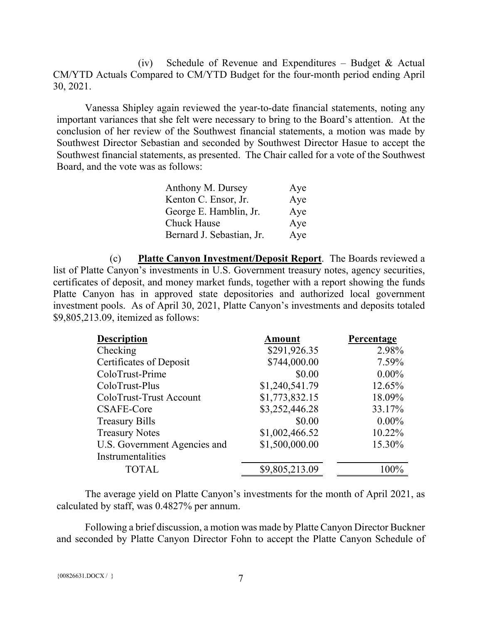(iv) Schedule of Revenue and Expenditures – Budget & Actual CM/YTD Actuals Compared to CM/YTD Budget for the four-month period ending April 30, 2021.

Vanessa Shipley again reviewed the year-to-date financial statements, noting any important variances that she felt were necessary to bring to the Board's attention. At the conclusion of her review of the Southwest financial statements, a motion was made by Southwest Director Sebastian and seconded by Southwest Director Hasue to accept the Southwest financial statements, as presented. The Chair called for a vote of the Southwest Board, and the vote was as follows:

| Anthony M. Dursey         | Aye |
|---------------------------|-----|
| Kenton C. Ensor, Jr.      | Aye |
| George E. Hamblin, Jr.    | Aye |
| Chuck Hause               | Aye |
| Bernard J. Sebastian, Jr. | Aye |

(c) **Platte Canyon Investment/Deposit Report**. The Boards reviewed a list of Platte Canyon's investments in U.S. Government treasury notes, agency securities, certificates of deposit, and money market funds, together with a report showing the funds Platte Canyon has in approved state depositories and authorized local government investment pools. As of April 30, 2021, Platte Canyon's investments and deposits totaled \$9,805,213.09, itemized as follows:

| <b>Description</b>           | <b>Amount</b>  | Percentage |
|------------------------------|----------------|------------|
| Checking                     | \$291,926.35   | 2.98%      |
| Certificates of Deposit      | \$744,000.00   | 7.59%      |
| ColoTrust-Prime              | \$0.00         | $0.00\%$   |
| ColoTrust-Plus               | \$1,240,541.79 | 12.65%     |
| ColoTrust-Trust Account      | \$1,773,832.15 | 18.09%     |
| CSAFE-Core                   | \$3,252,446.28 | 33.17%     |
| <b>Treasury Bills</b>        | \$0.00         | $0.00\%$   |
| <b>Treasury Notes</b>        | \$1,002,466.52 | 10.22%     |
| U.S. Government Agencies and | \$1,500,000.00 | 15.30%     |
| Instrumentalities            |                |            |
| <b>TOTAL</b>                 | \$9,805,213.09 | $100\%$    |
|                              |                |            |

The average yield on Platte Canyon's investments for the month of April 2021, as calculated by staff, was 0.4827% per annum.

Following a brief discussion, a motion was made by Platte Canyon Director Buckner and seconded by Platte Canyon Director Fohn to accept the Platte Canyon Schedule of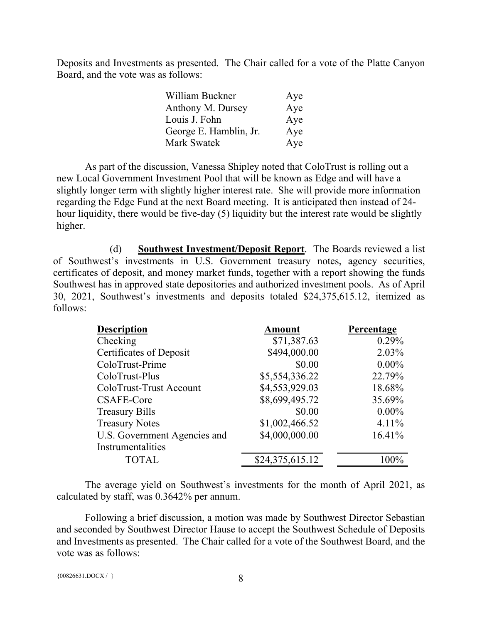Deposits and Investments as presented. The Chair called for a vote of the Platte Canyon Board, and the vote was as follows:

| William Buckner        | Aye |
|------------------------|-----|
| Anthony M. Dursey      | Aye |
| Louis J. Fohn          | Aye |
| George E. Hamblin, Jr. | Aye |
| Mark Swatek            | Aye |

As part of the discussion, Vanessa Shipley noted that ColoTrust is rolling out a new Local Government Investment Pool that will be known as Edge and will have a slightly longer term with slightly higher interest rate. She will provide more information regarding the Edge Fund at the next Board meeting. It is anticipated then instead of 24 hour liquidity, there would be five-day (5) liquidity but the interest rate would be slightly higher.

(d) **Southwest Investment/Deposit Report**. The Boards reviewed a list of Southwest's investments in U.S. Government treasury notes, agency securities, certificates of deposit, and money market funds, together with a report showing the funds Southwest has in approved state depositories and authorized investment pools. As of April 30, 2021, Southwest's investments and deposits totaled \$24,375,615.12, itemized as follows:

| <b>Description</b>           | <b>Amount</b>   | Percentage |
|------------------------------|-----------------|------------|
| Checking                     | \$71,387.63     | 0.29%      |
| Certificates of Deposit      | \$494,000.00    | 2.03%      |
| ColoTrust-Prime              | \$0.00          | $0.00\%$   |
| ColoTrust-Plus               | \$5,554,336.22  | 22.79%     |
| ColoTrust-Trust Account      | \$4,553,929.03  | 18.68%     |
| <b>CSAFE-Core</b>            | \$8,699,495.72  | 35.69%     |
| <b>Treasury Bills</b>        | \$0.00          | $0.00\%$   |
| <b>Treasury Notes</b>        | \$1,002,466.52  | $4.11\%$   |
| U.S. Government Agencies and | \$4,000,000.00  | 16.41%     |
| Instrumentalities            |                 |            |
| <b>TOTAL</b>                 | \$24,375,615.12 | 100%       |

The average yield on Southwest's investments for the month of April 2021, as calculated by staff, was 0.3642% per annum.

Following a brief discussion, a motion was made by Southwest Director Sebastian and seconded by Southwest Director Hause to accept the Southwest Schedule of Deposits and Investments as presented. The Chair called for a vote of the Southwest Board, and the vote was as follows:

```
{00826631.DOCX / } 8
```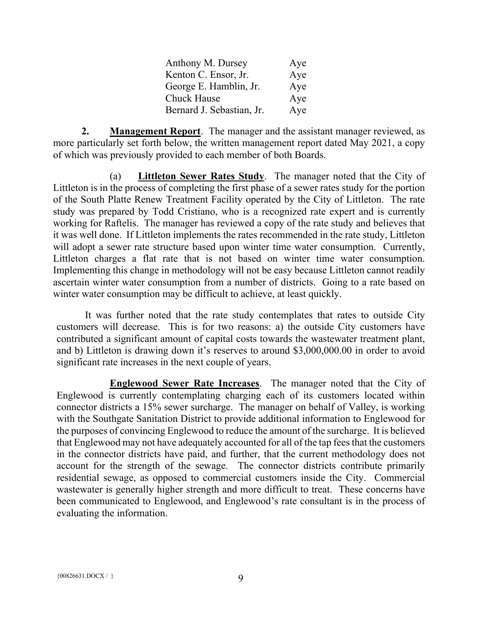| Anthony M. Dursey         | Aye |
|---------------------------|-----|
| Kenton C. Ensor, Jr.      | Aye |
| George E. Hamblin, Jr.    | Aye |
| <b>Chuck Hause</b>        | Aye |
| Bernard J. Sebastian, Jr. | Aye |

**2. Management Report**. The manager and the assistant manager reviewed, as more particularly set forth below, the written management report dated May 2021, a copy of which was previously provided to each member of both Boards.

(a) **Littleton Sewer Rates Study**. The manager noted that the City of Littleton is in the process of completing the first phase of a sewer rates study for the portion of the South Platte Renew Treatment Facility operated by the City of Littleton. The rate study was prepared by Todd Cristiano, who is a recognized rate expert and is currently working for Raftelis. The manager has reviewed a copy of the rate study and believes that it was well done. If Littleton implements the rates recommended in the rate study, Littleton will adopt a sewer rate structure based upon winter time water consumption. Currently, Littleton charges a flat rate that is not based on winter time water consumption. Implementing this change in methodology will not be easy because Littleton cannot readily ascertain winter water consumption from a number of districts. Going to a rate based on winter water consumption may be difficult to achieve, at least quickly.

It was further noted that the rate study contemplates that rates to outside City customers will decrease. This is for two reasons: a) the outside City customers have contributed a significant amount of capital costs towards the wastewater treatment plant, and b) Littleton is drawing down it's reserves to around \$3,000,000.00 in order to avoid significant rate increases in the next couple of years.

**Englewood Sewer Rate Increases**. The manager noted that the City of Englewood is currently contemplating charging each of its customers located within connector districts a 15% sewer surcharge. The manager on behalf of Valley, is working with the Southgate Sanitation District to provide additional information to Englewood for the purposes of convincing Englewood to reduce the amount of the surcharge. It is believed that Englewood may not have adequately accounted for all of the tap fees that the customers in the connector districts have paid, and further, that the current methodology does not account for the strength of the sewage. The connector districts contribute primarily residential sewage, as opposed to commercial customers inside the City. Commercial wastewater is generally higher strength and more difficult to treat. These concerns have been communicated to Englewood, and Englewood's rate consultant is in the process of evaluating the information.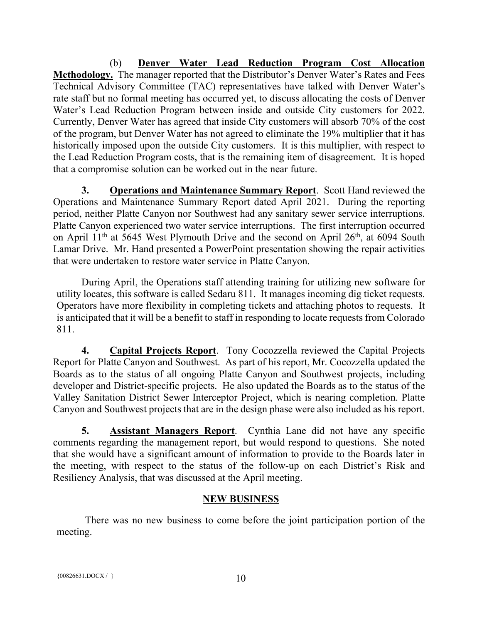(b) **Denver Water Lead Reduction Program Cost Allocation Methodology.** The manager reported that the Distributor's Denver Water's Rates and Fees Technical Advisory Committee (TAC) representatives have talked with Denver Water's rate staff but no formal meeting has occurred yet, to discuss allocating the costs of Denver Water's Lead Reduction Program between inside and outside City customers for 2022. Currently, Denver Water has agreed that inside City customers will absorb 70% of the cost of the program, but Denver Water has not agreed to eliminate the 19% multiplier that it has historically imposed upon the outside City customers. It is this multiplier, with respect to the Lead Reduction Program costs, that is the remaining item of disagreement. It is hoped that a compromise solution can be worked out in the near future.

**3. Operations and Maintenance Summary Report**. Scott Hand reviewed the Operations and Maintenance Summary Report dated April 2021. During the reporting period, neither Platte Canyon nor Southwest had any sanitary sewer service interruptions. Platte Canyon experienced two water service interruptions. The first interruption occurred on April 11<sup>th</sup> at 5645 West Plymouth Drive and the second on April 26<sup>th</sup>, at 6094 South Lamar Drive. Mr. Hand presented a PowerPoint presentation showing the repair activities that were undertaken to restore water service in Platte Canyon.

During April, the Operations staff attending training for utilizing new software for utility locates, this software is called Sedaru 811. It manages incoming dig ticket requests. Operators have more flexibility in completing tickets and attaching photos to requests. It is anticipated that it will be a benefit to staff in responding to locate requests from Colorado 811.

**4. Capital Projects Report**. Tony Cocozzella reviewed the Capital Projects Report for Platte Canyon and Southwest. As part of his report, Mr. Cocozzella updated the Boards as to the status of all ongoing Platte Canyon and Southwest projects, including developer and District-specific projects. He also updated the Boards as to the status of the Valley Sanitation District Sewer Interceptor Project, which is nearing completion. Platte Canyon and Southwest projects that are in the design phase were also included as his report.

**5. Assistant Managers Report**. Cynthia Lane did not have any specific comments regarding the management report, but would respond to questions. She noted that she would have a significant amount of information to provide to the Boards later in the meeting, with respect to the status of the follow-up on each District's Risk and Resiliency Analysis, that was discussed at the April meeting.

# **NEW BUSINESS**

There was no new business to come before the joint participation portion of the meeting.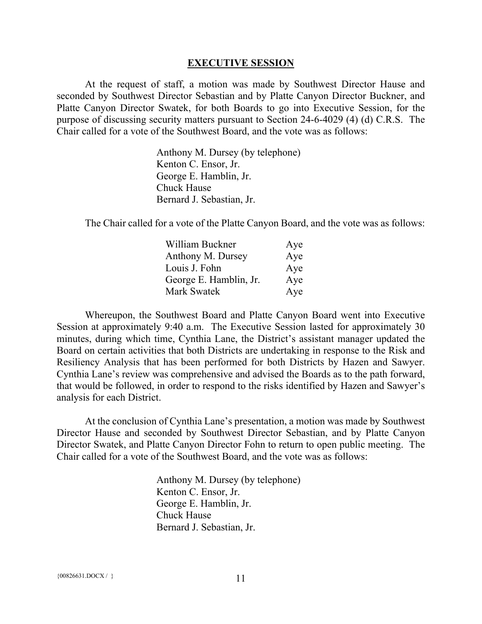#### **EXECUTIVE SESSION**

At the request of staff, a motion was made by Southwest Director Hause and seconded by Southwest Director Sebastian and by Platte Canyon Director Buckner, and Platte Canyon Director Swatek, for both Boards to go into Executive Session, for the purpose of discussing security matters pursuant to Section 24-6-4029 (4) (d) C.R.S. The Chair called for a vote of the Southwest Board, and the vote was as follows:

> Anthony M. Dursey (by telephone) Kenton C. Ensor, Jr. George E. Hamblin, Jr. Chuck Hause Bernard J. Sebastian, Jr.

The Chair called for a vote of the Platte Canyon Board, and the vote was as follows:

| William Buckner        | Aye |
|------------------------|-----|
| Anthony M. Dursey      | Aye |
| Louis J. Fohn          | Aye |
| George E. Hamblin, Jr. | Aye |
| <b>Mark Swatek</b>     | Aye |

Whereupon, the Southwest Board and Platte Canyon Board went into Executive Session at approximately 9:40 a.m. The Executive Session lasted for approximately 30 minutes, during which time, Cynthia Lane, the District's assistant manager updated the Board on certain activities that both Districts are undertaking in response to the Risk and Resiliency Analysis that has been performed for both Districts by Hazen and Sawyer. Cynthia Lane's review was comprehensive and advised the Boards as to the path forward, that would be followed, in order to respond to the risks identified by Hazen and Sawyer's analysis for each District.

At the conclusion of Cynthia Lane's presentation, a motion was made by Southwest Director Hause and seconded by Southwest Director Sebastian, and by Platte Canyon Director Swatek, and Platte Canyon Director Fohn to return to open public meeting. The Chair called for a vote of the Southwest Board, and the vote was as follows:

> Anthony M. Dursey (by telephone) Kenton C. Ensor, Jr. George E. Hamblin, Jr. Chuck Hause Bernard J. Sebastian, Jr.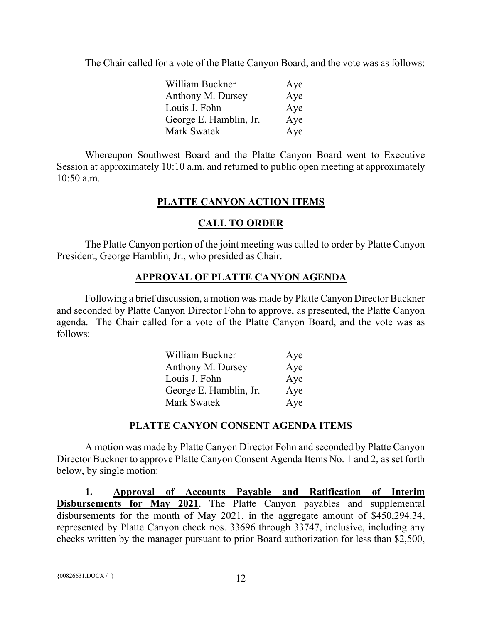The Chair called for a vote of the Platte Canyon Board, and the vote was as follows:

| William Buckner        | Aye |
|------------------------|-----|
| Anthony M. Dursey      | Aye |
| Louis J. Fohn          | Aye |
| George E. Hamblin, Jr. | Aye |
| Mark Swatek            | Aye |

Whereupon Southwest Board and the Platte Canyon Board went to Executive Session at approximately 10:10 a.m. and returned to public open meeting at approximately 10:50 a.m.

# **PLATTE CANYON ACTION ITEMS**

# **CALL TO ORDER**

The Platte Canyon portion of the joint meeting was called to order by Platte Canyon President, George Hamblin, Jr., who presided as Chair.

# **APPROVAL OF PLATTE CANYON AGENDA**

Following a brief discussion, a motion was made by Platte Canyon Director Buckner and seconded by Platte Canyon Director Fohn to approve, as presented, the Platte Canyon agenda. The Chair called for a vote of the Platte Canyon Board, and the vote was as follows:

| William Buckner        | Aye |
|------------------------|-----|
| Anthony M. Dursey      | Aye |
| Louis J. Fohn          | Aye |
| George E. Hamblin, Jr. | Aye |
| <b>Mark Swatek</b>     | Aye |

# **PLATTE CANYON CONSENT AGENDA ITEMS**

A motion was made by Platte Canyon Director Fohn and seconded by Platte Canyon Director Buckner to approve Platte Canyon Consent Agenda Items No. 1 and 2, as set forth below, by single motion:

**1. Approval of Accounts Payable and Ratification of Interim Disbursements for May 2021**. The Platte Canyon payables and supplemental disbursements for the month of May 2021, in the aggregate amount of \$450,294.34, represented by Platte Canyon check nos. 33696 through 33747, inclusive, including any checks written by the manager pursuant to prior Board authorization for less than \$2,500,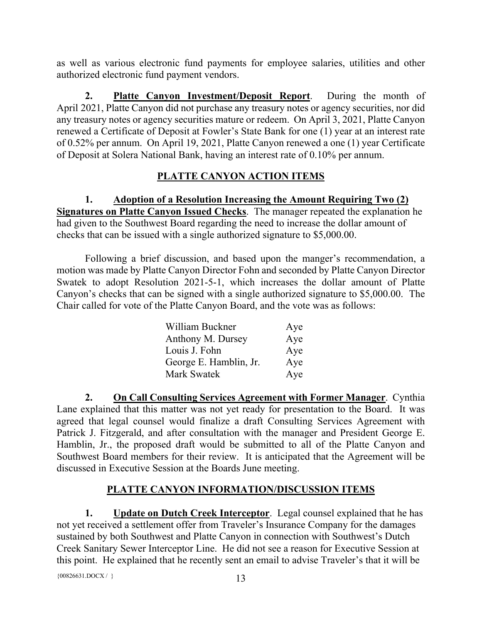as well as various electronic fund payments for employee salaries, utilities and other authorized electronic fund payment vendors.

**2. Platte Canyon Investment/Deposit Report**. During the month of April 2021, Platte Canyon did not purchase any treasury notes or agency securities, nor did any treasury notes or agency securities mature or redeem. On April 3, 2021, Platte Canyon renewed a Certificate of Deposit at Fowler's State Bank for one (1) year at an interest rate of 0.52% per annum. On April 19, 2021, Platte Canyon renewed a one (1) year Certificate of Deposit at Solera National Bank, having an interest rate of 0.10% per annum.

# **PLATTE CANYON ACTION ITEMS**

**1. Adoption of a Resolution Increasing the Amount Requiring Two (2) Signatures on Platte Canyon Issued Checks**. The manager repeated the explanation he had given to the Southwest Board regarding the need to increase the dollar amount of checks that can be issued with a single authorized signature to \$5,000.00.

Following a brief discussion, and based upon the manger's recommendation, a motion was made by Platte Canyon Director Fohn and seconded by Platte Canyon Director Swatek to adopt Resolution 2021-5-1, which increases the dollar amount of Platte Canyon's checks that can be signed with a single authorized signature to \$5,000.00. The Chair called for vote of the Platte Canyon Board, and the vote was as follows:

| William Buckner        | Aye |
|------------------------|-----|
| Anthony M. Dursey      | Aye |
| Louis J. Fohn          | Aye |
| George E. Hamblin, Jr. | Aye |
| Mark Swatek            | Aye |

**2. On Call Consulting Services Agreement with Former Manager**. Cynthia Lane explained that this matter was not yet ready for presentation to the Board. It was agreed that legal counsel would finalize a draft Consulting Services Agreement with Patrick J. Fitzgerald, and after consultation with the manager and President George E. Hamblin, Jr., the proposed draft would be submitted to all of the Platte Canyon and Southwest Board members for their review. It is anticipated that the Agreement will be discussed in Executive Session at the Boards June meeting.

# **PLATTE CANYON INFORMATION/DISCUSSION ITEMS**

**1.** Update on Dutch Creek Interceptor. Legal counsel explained that he has not yet received a settlement offer from Traveler's Insurance Company for the damages sustained by both Southwest and Platte Canyon in connection with Southwest's Dutch Creek Sanitary Sewer Interceptor Line. He did not see a reason for Executive Session at this point. He explained that he recently sent an email to advise Traveler's that it will be

 ${00826631. \text{DOC} \times} / }$  13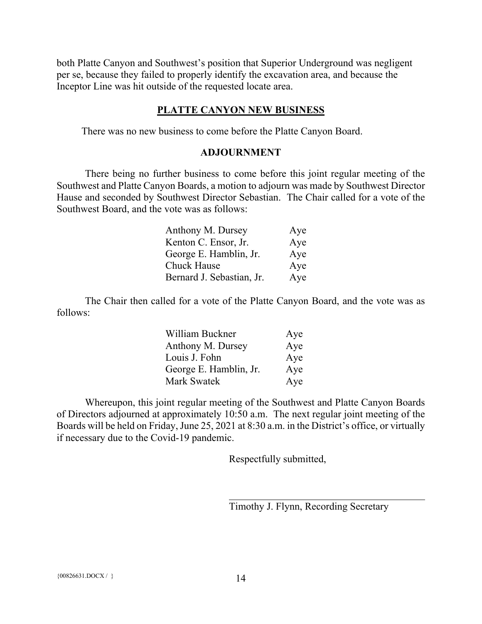both Platte Canyon and Southwest's position that Superior Underground was negligent per se, because they failed to properly identify the excavation area, and because the Inceptor Line was hit outside of the requested locate area.

#### **PLATTE CANYON NEW BUSINESS**

There was no new business to come before the Platte Canyon Board.

#### **ADJOURNMENT**

There being no further business to come before this joint regular meeting of the Southwest and Platte Canyon Boards, a motion to adjourn was made by Southwest Director Hause and seconded by Southwest Director Sebastian. The Chair called for a vote of the Southwest Board, and the vote was as follows:

| Anthony M. Dursey         | Aye |
|---------------------------|-----|
| Kenton C. Ensor, Jr.      | Aye |
| George E. Hamblin, Jr.    | Aye |
| Chuck Hause               | Aye |
| Bernard J. Sebastian, Jr. | Aye |

The Chair then called for a vote of the Platte Canyon Board, and the vote was as follows:

| William Buckner        | Aye |
|------------------------|-----|
| Anthony M. Dursey      | Aye |
| Louis J. Fohn          | Aye |
| George E. Hamblin, Jr. | Aye |
| <b>Mark Swatek</b>     | Aye |

Whereupon, this joint regular meeting of the Southwest and Platte Canyon Boards of Directors adjourned at approximately 10:50 a.m. The next regular joint meeting of the Boards will be held on Friday, June 25, 2021 at 8:30 a.m. in the District's office, or virtually if necessary due to the Covid-19 pandemic.

Respectfully submitted,

Timothy J. Flynn, Recording Secretary